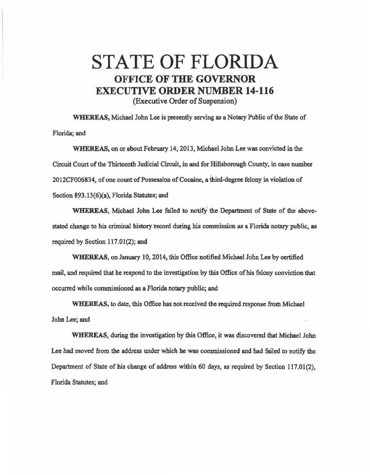## STATE OF FLORIDA OFFICE **OF THE GOVERNOR**  EXECUTIVE **ORDER** NUMBER **14-116**  (Executive Order of Suspension)

WHEREAS, Michael John Lee is presently serving as a Notary Public of the State of Florida; and

WHEREAS, on or about February 14, 2013, Michael John Lee was convicted in the Circuit Court of the Thirteenth Judicial Circuit, in and for Hillsborough County, in case number 2012CF006834, of one count of Possession of Cocaine, a third-degree felony in violation of Section 893.13(6)(a), Florida Statutes; and

WHEREAS, Michael John Lee failed to notify the Department of State of the above· stated change to his criminal history record during his commission as a Florida notary public, as required by Section 117.01(2); and

WHEREAS, on January 10, 2014, this Office notified Michael John Lee by certified mail, and required that he respond to the investigation by this Office of his felony conviction that occurred while commissioned as a Florida notary public; and

WHEREAS, to date, this Office has not received the required response from Michael John Lee; and

WHEREAS, during the investigation by this Office, it was discovered that Michael John Lee bad moved from the address under which he was commissioned and had failed to notify the Department of State of his change of address within 60 days, as required by Section 117.01(2), Florida Statutes; and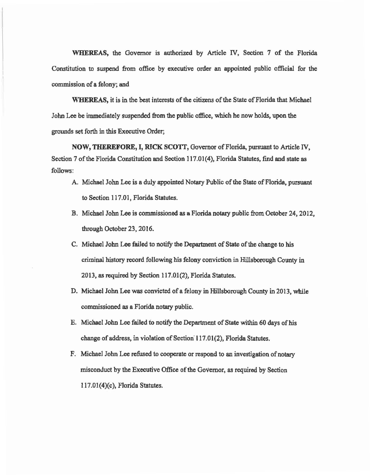WHEREAS, the Governor is authorized by Article IV, Section 7 of the Florida Constitution to suspend from office by executive order an appointed public official for the commission of a felony; and

WHEREAS, it is in the best interests of the citizens of the State of Florida that Michael John Lee be immediately suspended from the public office, which he now holds, upon the grounds set forth in this Executive Order;

NOW, THEREFORE, I, RICK SCOTT, Governor of Florida, pursuant to Article IV, Section 7 of the Florida Constitution and Section 117.01(4), Florida Statutes, find and state as follows:

- A. Michael John Lee is a duly appointed Notary Public of the State of Florida, pursuant to Section 117.01, Florida Statutes.
- B. Michael John Lee is commissioned as a Florida notary public from October 24, 2012, through October 23, 2016.
- C. Michael John Lee failed to notify the Department of State of the change to his criminal history record following his felony conviction in Hillsborough County in 2013, as required by Section 117.01(2), Florida Statutes.
- D. Michael John Lee was convicted of a felony in Hillsborough County in 2013, while commissioned as a Florida notary public.
- E. Michael John Lee failed to notify the Department of State within 60 days of bis change of address, in violation of Section 117.01(2), Florida Statutes.
- F. Michael John Lee refused to cooperate or respond to an investigation of notary misconduct by the Executive Office of the Governor, as required by Section 117.01(4)(c), Florida Statutes.